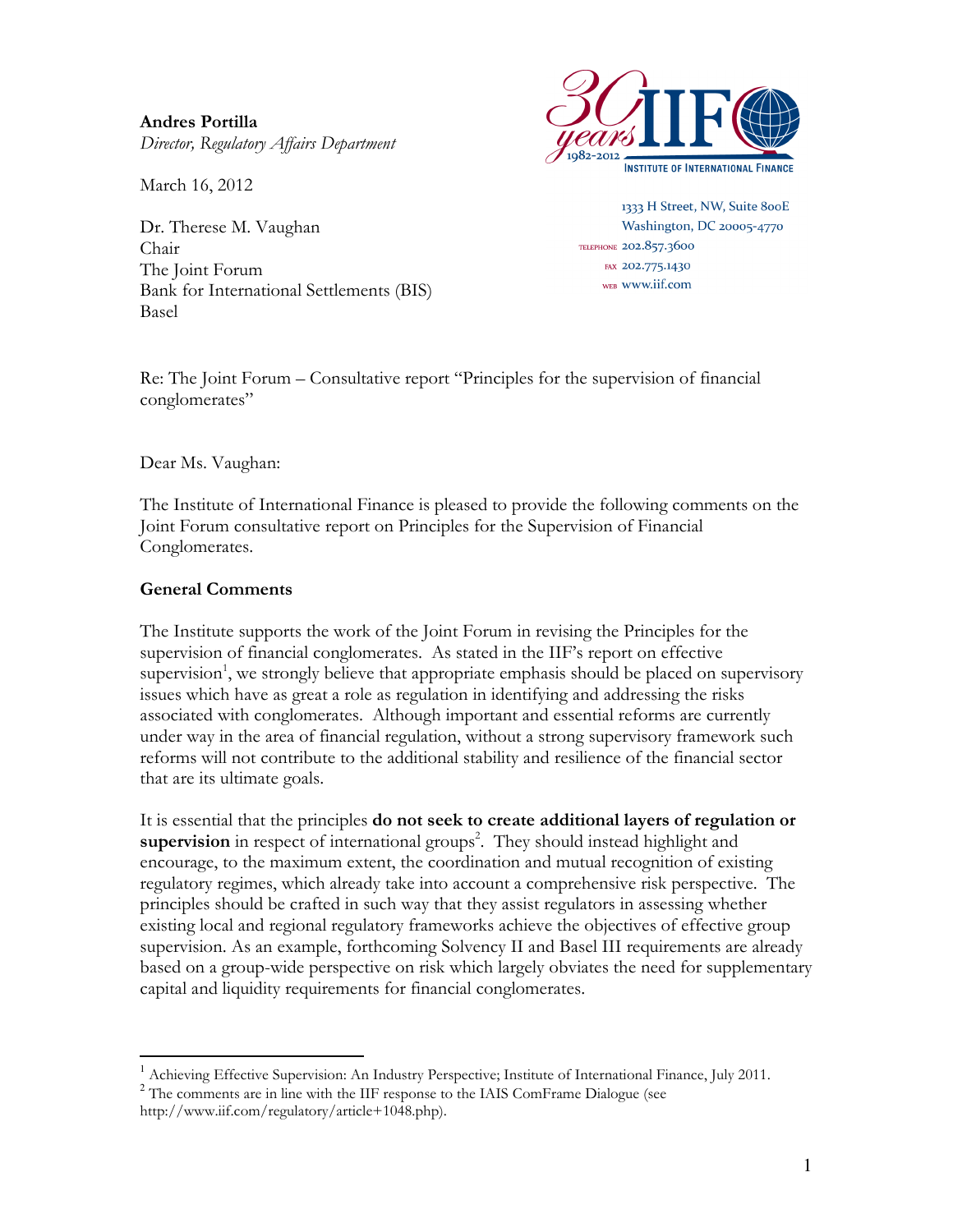Andres Portilla Director, Regulatory Affairs Department

March 16, 2012

Dr. Therese M. Vaughan Chair The Joint Forum Bank for International Settlements (BIS) Basel



1333 H Street, NW, Suite 800E Washington, DC 20005-4770 TELEPHONE 202.857.3600 FAX 202.775.1430 WEB WWW.iif.com

Re: The Joint Forum – Consultative report "Principles for the supervision of financial conglomerates"

Dear Ms. Vaughan:

The Institute of International Finance is pleased to provide the following comments on the Joint Forum consultative report on Principles for the Supervision of Financial Conglomerates.

### General Comments

The Institute supports the work of the Joint Forum in revising the Principles for the supervision of financial conglomerates. As stated in the IIF's report on effective supervision<sup>1</sup>, we strongly believe that appropriate emphasis should be placed on supervisory issues which have as great a role as regulation in identifying and addressing the risks associated with conglomerates. Although important and essential reforms are currently under way in the area of financial regulation, without a strong supervisory framework such reforms will not contribute to the additional stability and resilience of the financial sector that are its ultimate goals.

It is essential that the principles do not seek to create additional layers of regulation or supervision in respect of international groups<sup>2</sup>. They should instead highlight and encourage, to the maximum extent, the coordination and mutual recognition of existing regulatory regimes, which already take into account a comprehensive risk perspective. The principles should be crafted in such way that they assist regulators in assessing whether existing local and regional regulatory frameworks achieve the objectives of effective group supervision. As an example, forthcoming Solvency II and Basel III requirements are already based on a group-wide perspective on risk which largely obviates the need for supplementary capital and liquidity requirements for financial conglomerates.

 $\overline{a}$ 

<sup>&</sup>lt;sup>1</sup> Achieving Effective Supervision: An Industry Perspective; Institute of International Finance, July 2011. <sup>2</sup> The comments are in line with the IIF response to the IAIS ComFrame Dialogue (see

http://www.iif.com/regulatory/article+1048.php).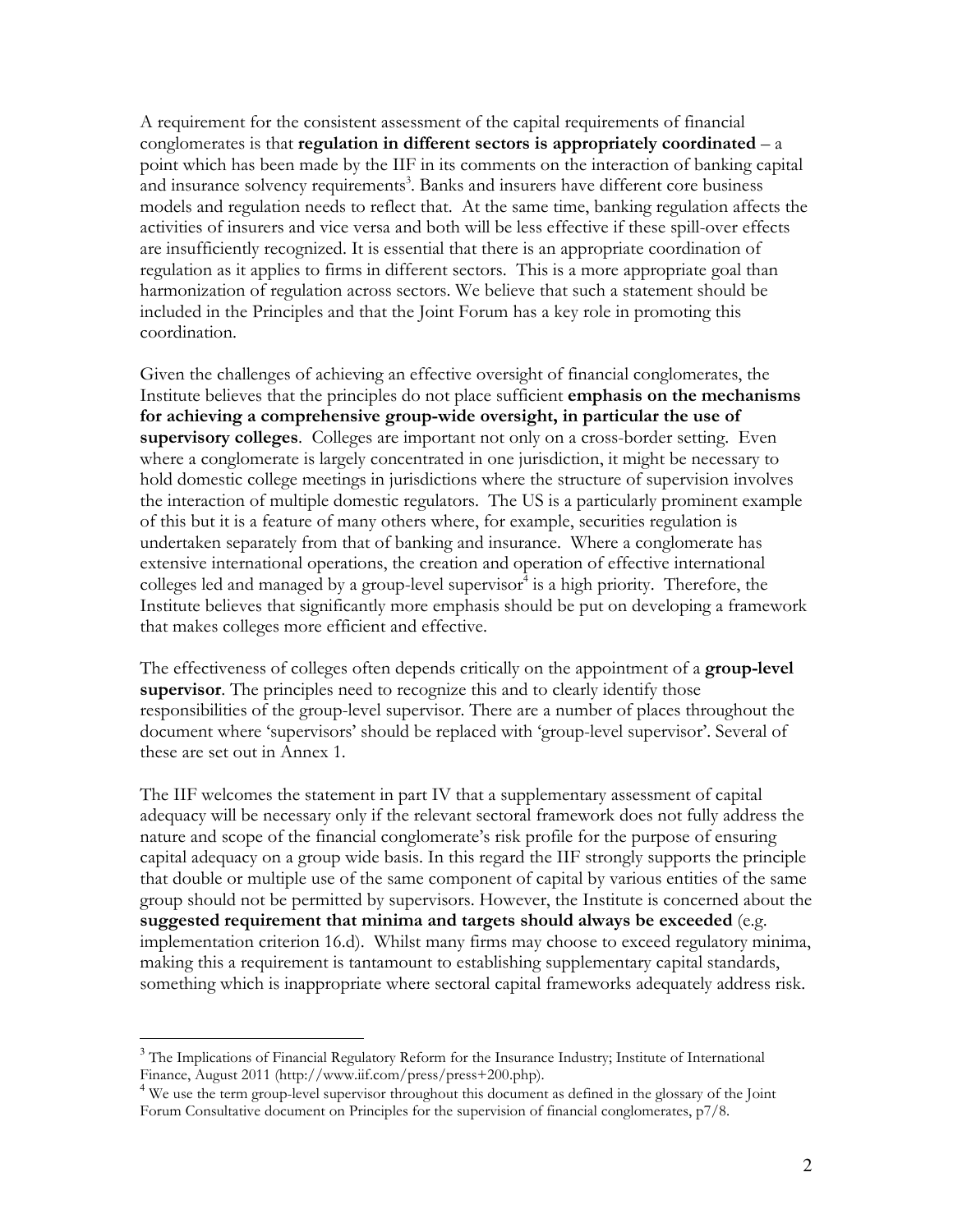A requirement for the consistent assessment of the capital requirements of financial conglomerates is that regulation in different sectors is appropriately coordinated  $- a$ point which has been made by the IIF in its comments on the interaction of banking capital and insurance solvency requirements<sup>3</sup>. Banks and insurers have different core business models and regulation needs to reflect that. At the same time, banking regulation affects the activities of insurers and vice versa and both will be less effective if these spill-over effects are insufficiently recognized. It is essential that there is an appropriate coordination of regulation as it applies to firms in different sectors. This is a more appropriate goal than harmonization of regulation across sectors. We believe that such a statement should be included in the Principles and that the Joint Forum has a key role in promoting this coordination.

Given the challenges of achieving an effective oversight of financial conglomerates, the Institute believes that the principles do not place sufficient emphasis on the mechanisms for achieving a comprehensive group-wide oversight, in particular the use of supervisory colleges. Colleges are important not only on a cross-border setting. Even where a conglomerate is largely concentrated in one jurisdiction, it might be necessary to hold domestic college meetings in jurisdictions where the structure of supervision involves the interaction of multiple domestic regulators. The US is a particularly prominent example of this but it is a feature of many others where, for example, securities regulation is undertaken separately from that of banking and insurance. Where a conglomerate has extensive international operations, the creation and operation of effective international colleges led and managed by a group-level supervisor 4 is a high priority. Therefore, the Institute believes that significantly more emphasis should be put on developing a framework that makes colleges more efficient and effective.

The effectiveness of colleges often depends critically on the appointment of a **group-level** supervisor. The principles need to recognize this and to clearly identify those responsibilities of the group-level supervisor. There are a number of places throughout the document where 'supervisors' should be replaced with 'group-level supervisor'. Several of these are set out in Annex 1.

The IIF welcomes the statement in part IV that a supplementary assessment of capital adequacy will be necessary only if the relevant sectoral framework does not fully address the nature and scope of the financial conglomerate's risk profile for the purpose of ensuring capital adequacy on a group wide basis. In this regard the IIF strongly supports the principle that double or multiple use of the same component of capital by various entities of the same group should not be permitted by supervisors. However, the Institute is concerned about the suggested requirement that minima and targets should always be exceeded (e.g. implementation criterion 16.d). Whilst many firms may choose to exceed regulatory minima, making this a requirement is tantamount to establishing supplementary capital standards, something which is inappropriate where sectoral capital frameworks adequately address risk.

 $\overline{a}$ 

<sup>&</sup>lt;sup>3</sup> The Implications of Financial Regulatory Reform for the Insurance Industry; Institute of International Finance, August 2011 (http://www.iif.com/press/press+200.php).

<sup>&</sup>lt;sup>4</sup> We use the term group-level supervisor throughout this document as defined in the glossary of the Joint Forum Consultative document on Principles for the supervision of financial conglomerates, p7/8.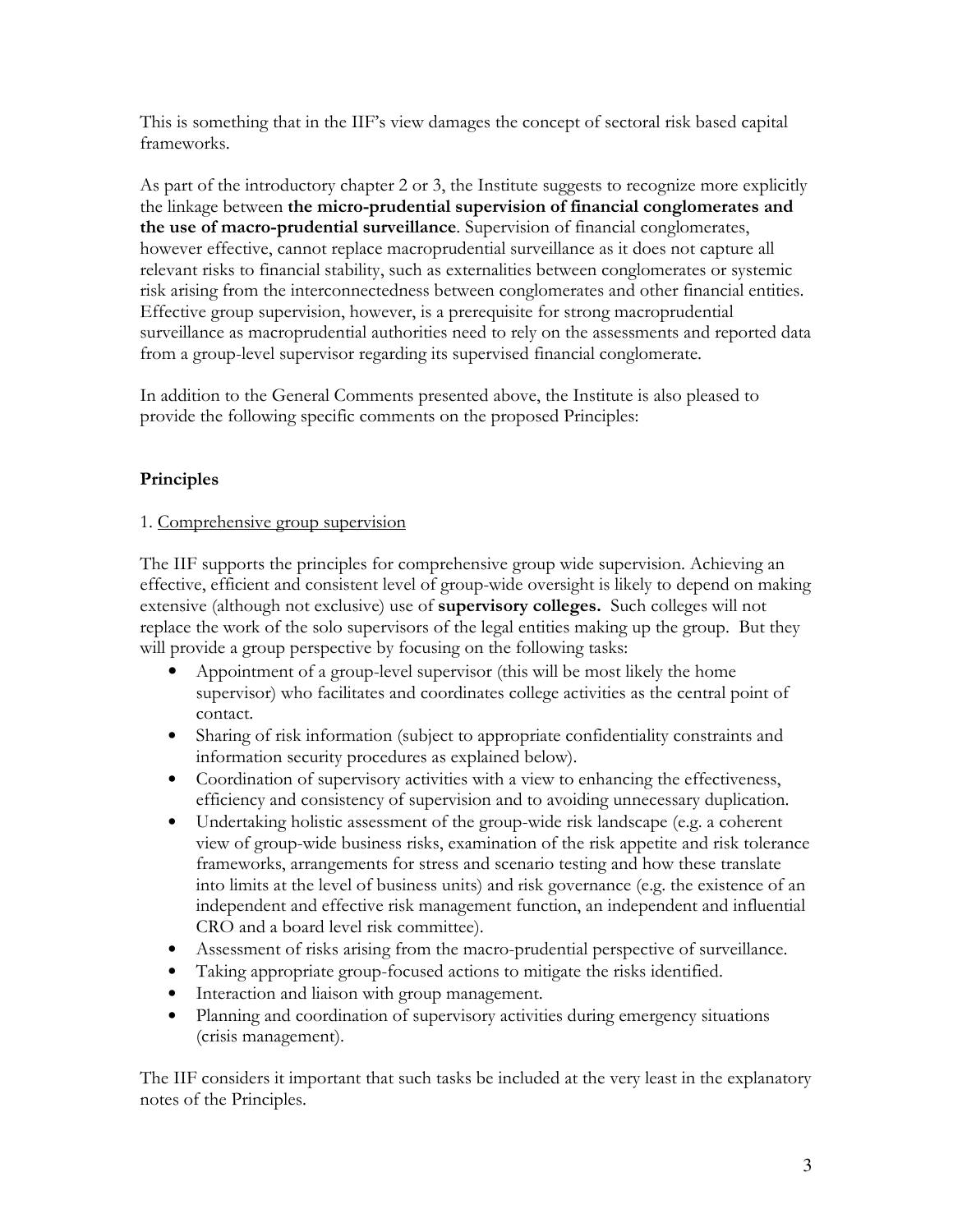This is something that in the IIF's view damages the concept of sectoral risk based capital frameworks.

As part of the introductory chapter 2 or 3, the Institute suggests to recognize more explicitly the linkage between the micro-prudential supervision of financial conglomerates and the use of macro-prudential surveillance. Supervision of financial conglomerates, however effective, cannot replace macroprudential surveillance as it does not capture all relevant risks to financial stability, such as externalities between conglomerates or systemic risk arising from the interconnectedness between conglomerates and other financial entities. Effective group supervision, however, is a prerequisite for strong macroprudential surveillance as macroprudential authorities need to rely on the assessments and reported data from a group-level supervisor regarding its supervised financial conglomerate.

In addition to the General Comments presented above, the Institute is also pleased to provide the following specific comments on the proposed Principles:

## Principles

### 1. Comprehensive group supervision

The IIF supports the principles for comprehensive group wide supervision. Achieving an effective, efficient and consistent level of group-wide oversight is likely to depend on making extensive (although not exclusive) use of **supervisory colleges.** Such colleges will not replace the work of the solo supervisors of the legal entities making up the group. But they will provide a group perspective by focusing on the following tasks:

- Appointment of a group-level supervisor (this will be most likely the home supervisor) who facilitates and coordinates college activities as the central point of contact.
- Sharing of risk information (subject to appropriate confidentiality constraints and information security procedures as explained below).
- Coordination of supervisory activities with a view to enhancing the effectiveness, efficiency and consistency of supervision and to avoiding unnecessary duplication.
- Undertaking holistic assessment of the group-wide risk landscape (e.g. a coherent view of group-wide business risks, examination of the risk appetite and risk tolerance frameworks, arrangements for stress and scenario testing and how these translate into limits at the level of business units) and risk governance (e.g. the existence of an independent and effective risk management function, an independent and influential CRO and a board level risk committee).
- Assessment of risks arising from the macro-prudential perspective of surveillance.
- Taking appropriate group-focused actions to mitigate the risks identified.
- Interaction and liaison with group management.
- Planning and coordination of supervisory activities during emergency situations (crisis management).

The IIF considers it important that such tasks be included at the very least in the explanatory notes of the Principles.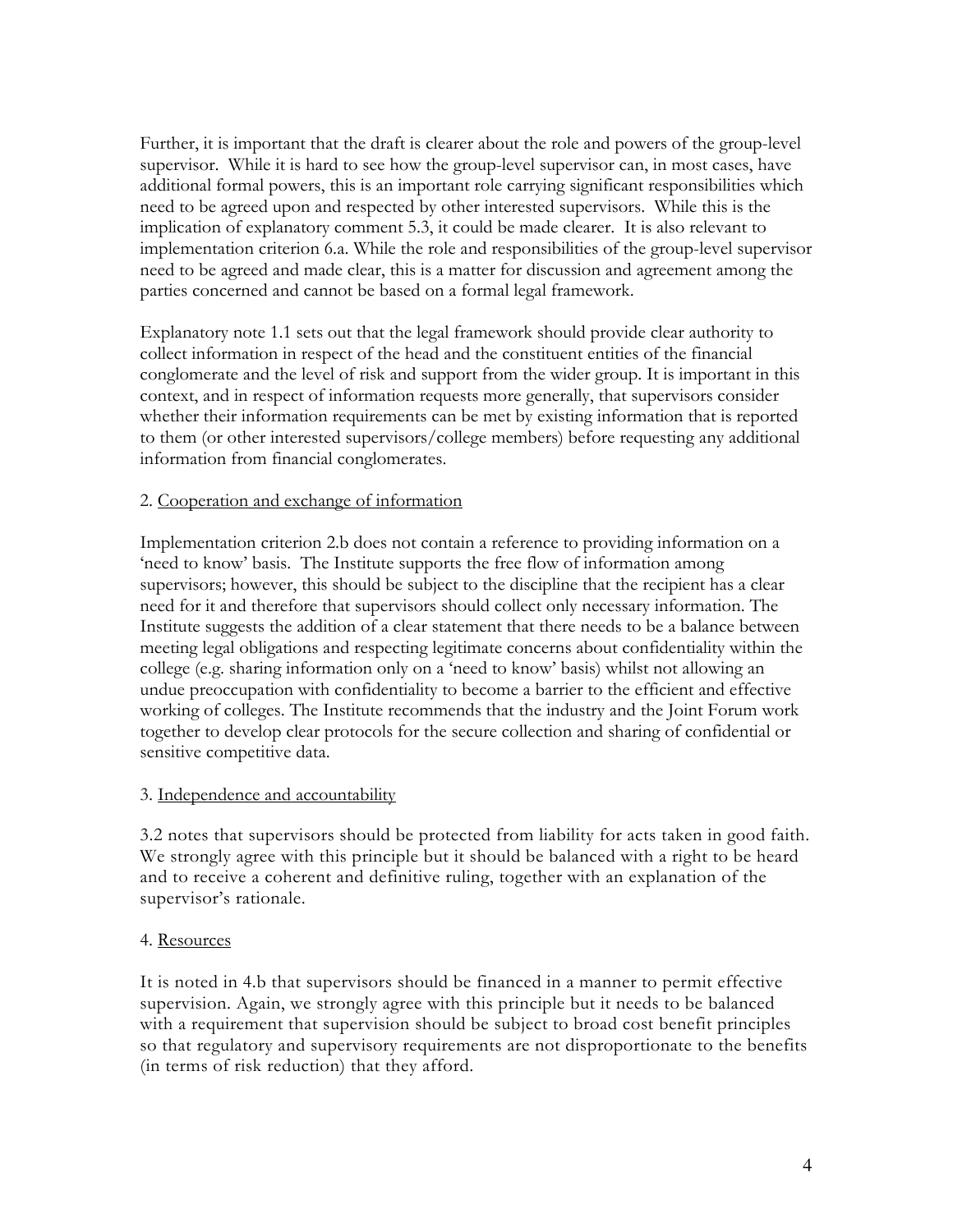Further, it is important that the draft is clearer about the role and powers of the group-level supervisor. While it is hard to see how the group-level supervisor can, in most cases, have additional formal powers, this is an important role carrying significant responsibilities which need to be agreed upon and respected by other interested supervisors. While this is the implication of explanatory comment 5.3, it could be made clearer. It is also relevant to implementation criterion 6.a. While the role and responsibilities of the group-level supervisor need to be agreed and made clear, this is a matter for discussion and agreement among the parties concerned and cannot be based on a formal legal framework.

Explanatory note 1.1 sets out that the legal framework should provide clear authority to collect information in respect of the head and the constituent entities of the financial conglomerate and the level of risk and support from the wider group. It is important in this context, and in respect of information requests more generally, that supervisors consider whether their information requirements can be met by existing information that is reported to them (or other interested supervisors/college members) before requesting any additional information from financial conglomerates.

#### 2. Cooperation and exchange of information

Implementation criterion 2.b does not contain a reference to providing information on a 'need to know' basis. The Institute supports the free flow of information among supervisors; however, this should be subject to the discipline that the recipient has a clear need for it and therefore that supervisors should collect only necessary information. The Institute suggests the addition of a clear statement that there needs to be a balance between meeting legal obligations and respecting legitimate concerns about confidentiality within the college (e.g. sharing information only on a 'need to know' basis) whilst not allowing an undue preoccupation with confidentiality to become a barrier to the efficient and effective working of colleges. The Institute recommends that the industry and the Joint Forum work together to develop clear protocols for the secure collection and sharing of confidential or sensitive competitive data.

#### 3. Independence and accountability

3.2 notes that supervisors should be protected from liability for acts taken in good faith. We strongly agree with this principle but it should be balanced with a right to be heard and to receive a coherent and definitive ruling, together with an explanation of the supervisor's rationale.

#### 4. Resources

It is noted in 4.b that supervisors should be financed in a manner to permit effective supervision. Again, we strongly agree with this principle but it needs to be balanced with a requirement that supervision should be subject to broad cost benefit principles so that regulatory and supervisory requirements are not disproportionate to the benefits (in terms of risk reduction) that they afford.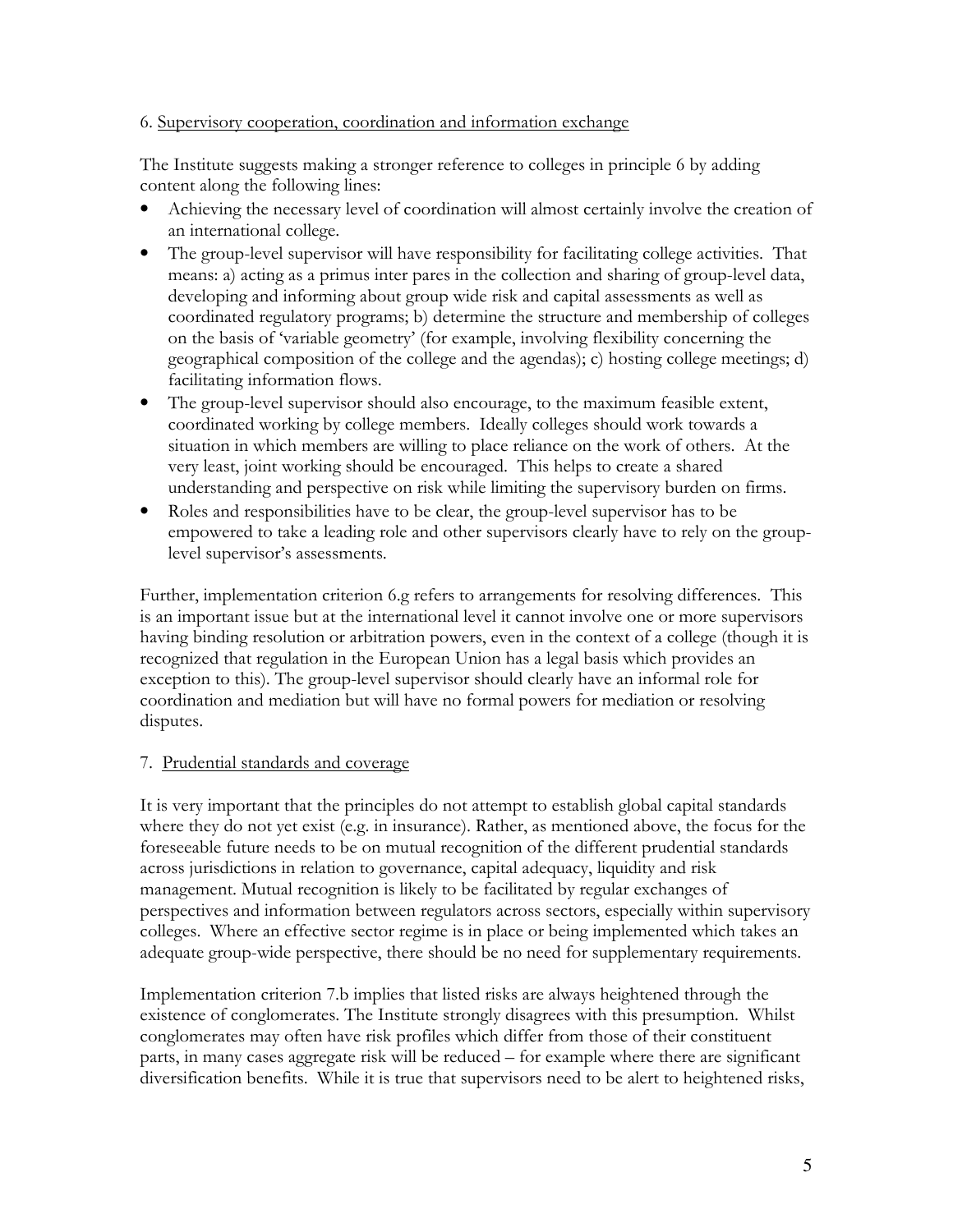#### 6. Supervisory cooperation, coordination and information exchange

The Institute suggests making a stronger reference to colleges in principle 6 by adding content along the following lines:

- Achieving the necessary level of coordination will almost certainly involve the creation of an international college.
- The group-level supervisor will have responsibility for facilitating college activities. That means: a) acting as a primus inter pares in the collection and sharing of group-level data, developing and informing about group wide risk and capital assessments as well as coordinated regulatory programs; b) determine the structure and membership of colleges on the basis of 'variable geometry' (for example, involving flexibility concerning the geographical composition of the college and the agendas); c) hosting college meetings; d) facilitating information flows.
- The group-level supervisor should also encourage, to the maximum feasible extent, coordinated working by college members. Ideally colleges should work towards a situation in which members are willing to place reliance on the work of others. At the very least, joint working should be encouraged. This helps to create a shared understanding and perspective on risk while limiting the supervisory burden on firms.
- Roles and responsibilities have to be clear, the group-level supervisor has to be empowered to take a leading role and other supervisors clearly have to rely on the grouplevel supervisor's assessments.

Further, implementation criterion 6.g refers to arrangements for resolving differences. This is an important issue but at the international level it cannot involve one or more supervisors having binding resolution or arbitration powers, even in the context of a college (though it is recognized that regulation in the European Union has a legal basis which provides an exception to this). The group-level supervisor should clearly have an informal role for coordination and mediation but will have no formal powers for mediation or resolving disputes.

#### 7. Prudential standards and coverage

It is very important that the principles do not attempt to establish global capital standards where they do not yet exist (e.g. in insurance). Rather, as mentioned above, the focus for the foreseeable future needs to be on mutual recognition of the different prudential standards across jurisdictions in relation to governance, capital adequacy, liquidity and risk management. Mutual recognition is likely to be facilitated by regular exchanges of perspectives and information between regulators across sectors, especially within supervisory colleges. Where an effective sector regime is in place or being implemented which takes an adequate group-wide perspective, there should be no need for supplementary requirements.

Implementation criterion 7.b implies that listed risks are always heightened through the existence of conglomerates. The Institute strongly disagrees with this presumption. Whilst conglomerates may often have risk profiles which differ from those of their constituent parts, in many cases aggregate risk will be reduced – for example where there are significant diversification benefits. While it is true that supervisors need to be alert to heightened risks,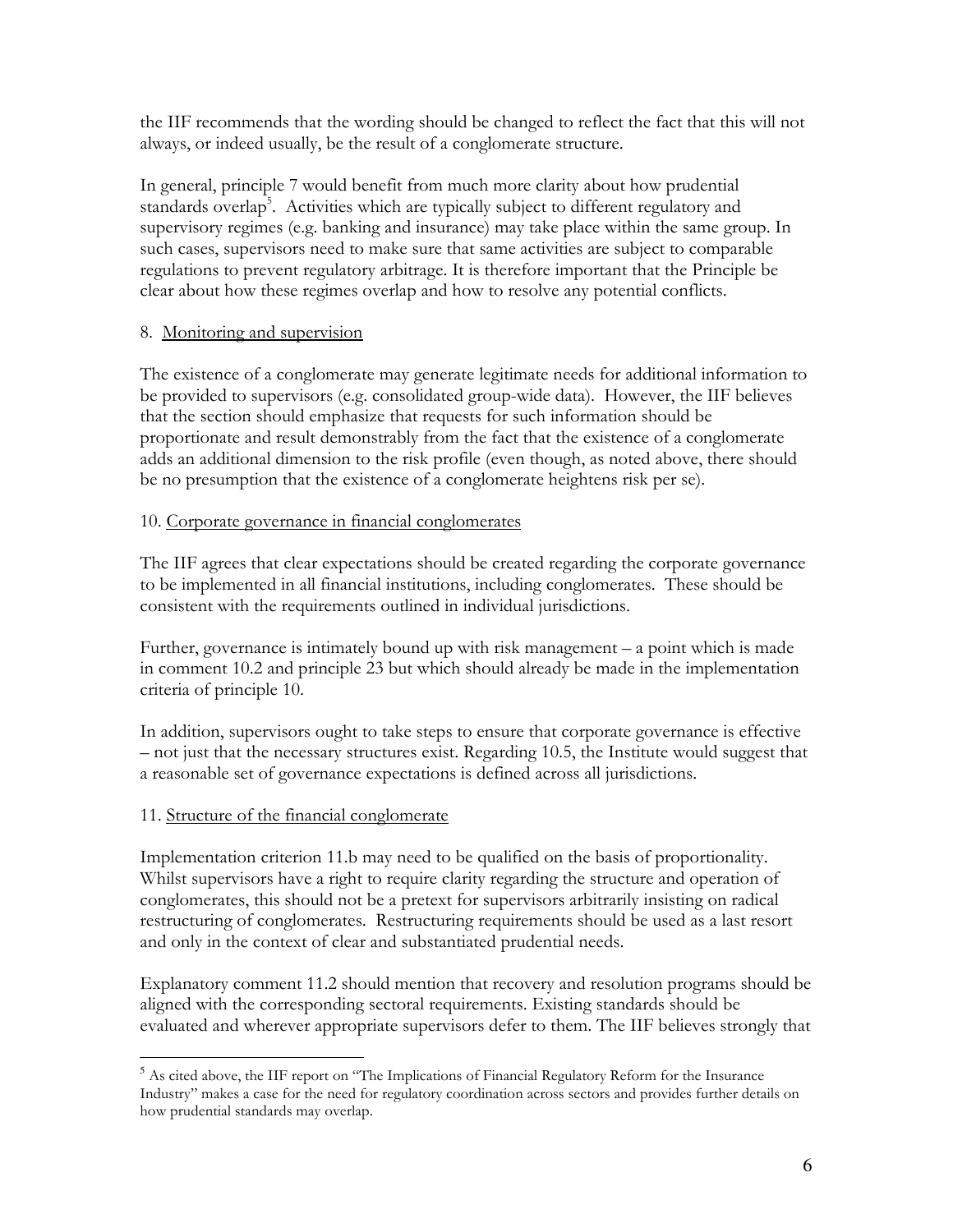the IIF recommends that the wording should be changed to reflect the fact that this will not always, or indeed usually, be the result of a conglomerate structure.

In general, principle 7 would benefit from much more clarity about how prudential standards overlap<sup>5</sup>. Activities which are typically subject to different regulatory and supervisory regimes (e.g. banking and insurance) may take place within the same group. In such cases, supervisors need to make sure that same activities are subject to comparable regulations to prevent regulatory arbitrage. It is therefore important that the Principle be clear about how these regimes overlap and how to resolve any potential conflicts.

#### 8. Monitoring and supervision

The existence of a conglomerate may generate legitimate needs for additional information to be provided to supervisors (e.g. consolidated group-wide data). However, the IIF believes that the section should emphasize that requests for such information should be proportionate and result demonstrably from the fact that the existence of a conglomerate adds an additional dimension to the risk profile (even though, as noted above, there should be no presumption that the existence of a conglomerate heightens risk per se).

### 10. Corporate governance in financial conglomerates

The IIF agrees that clear expectations should be created regarding the corporate governance to be implemented in all financial institutions, including conglomerates. These should be consistent with the requirements outlined in individual jurisdictions.

Further, governance is intimately bound up with risk management – a point which is made in comment 10.2 and principle 23 but which should already be made in the implementation criteria of principle 10.

In addition, supervisors ought to take steps to ensure that corporate governance is effective – not just that the necessary structures exist. Regarding 10.5, the Institute would suggest that a reasonable set of governance expectations is defined across all jurisdictions.

## 11. Structure of the financial conglomerate

 $\overline{a}$ 

Implementation criterion 11.b may need to be qualified on the basis of proportionality. Whilst supervisors have a right to require clarity regarding the structure and operation of conglomerates, this should not be a pretext for supervisors arbitrarily insisting on radical restructuring of conglomerates. Restructuring requirements should be used as a last resort and only in the context of clear and substantiated prudential needs.

Explanatory comment 11.2 should mention that recovery and resolution programs should be aligned with the corresponding sectoral requirements. Existing standards should be evaluated and wherever appropriate supervisors defer to them. The IIF believes strongly that

<sup>&</sup>lt;sup>5</sup> As cited above, the IIF report on "The Implications of Financial Regulatory Reform for the Insurance Industry" makes a case for the need for regulatory coordination across sectors and provides further details on how prudential standards may overlap.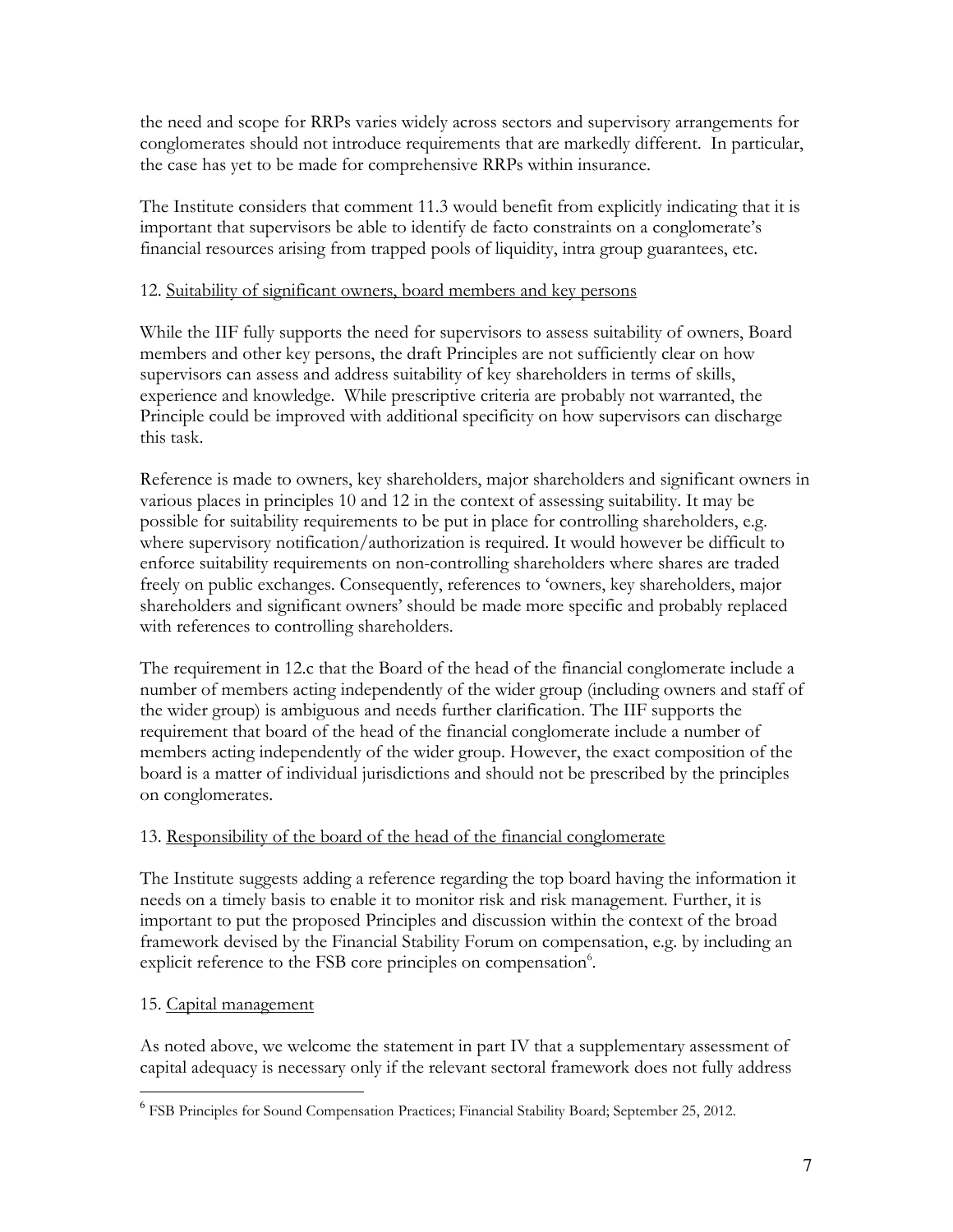the need and scope for RRPs varies widely across sectors and supervisory arrangements for conglomerates should not introduce requirements that are markedly different. In particular, the case has yet to be made for comprehensive RRPs within insurance.

The Institute considers that comment 11.3 would benefit from explicitly indicating that it is important that supervisors be able to identify de facto constraints on a conglomerate's financial resources arising from trapped pools of liquidity, intra group guarantees, etc.

### 12. Suitability of significant owners, board members and key persons

While the IIF fully supports the need for supervisors to assess suitability of owners, Board members and other key persons, the draft Principles are not sufficiently clear on how supervisors can assess and address suitability of key shareholders in terms of skills, experience and knowledge. While prescriptive criteria are probably not warranted, the Principle could be improved with additional specificity on how supervisors can discharge this task.

Reference is made to owners, key shareholders, major shareholders and significant owners in various places in principles 10 and 12 in the context of assessing suitability. It may be possible for suitability requirements to be put in place for controlling shareholders, e.g. where supervisory notification/authorization is required. It would however be difficult to enforce suitability requirements on non-controlling shareholders where shares are traded freely on public exchanges. Consequently, references to 'owners, key shareholders, major shareholders and significant owners' should be made more specific and probably replaced with references to controlling shareholders.

The requirement in 12.c that the Board of the head of the financial conglomerate include a number of members acting independently of the wider group (including owners and staff of the wider group) is ambiguous and needs further clarification. The IIF supports the requirement that board of the head of the financial conglomerate include a number of members acting independently of the wider group. However, the exact composition of the board is a matter of individual jurisdictions and should not be prescribed by the principles on conglomerates.

## 13. Responsibility of the board of the head of the financial conglomerate

The Institute suggests adding a reference regarding the top board having the information it needs on a timely basis to enable it to monitor risk and risk management. Further, it is important to put the proposed Principles and discussion within the context of the broad framework devised by the Financial Stability Forum on compensation, e.g. by including an explicit reference to the FSB core principles on compensation<sup>6</sup>.

## 15. Capital management

l.

As noted above, we welcome the statement in part IV that a supplementary assessment of capital adequacy is necessary only if the relevant sectoral framework does not fully address

<sup>&</sup>lt;sup>6</sup> FSB Principles for Sound Compensation Practices; Financial Stability Board; September 25, 2012.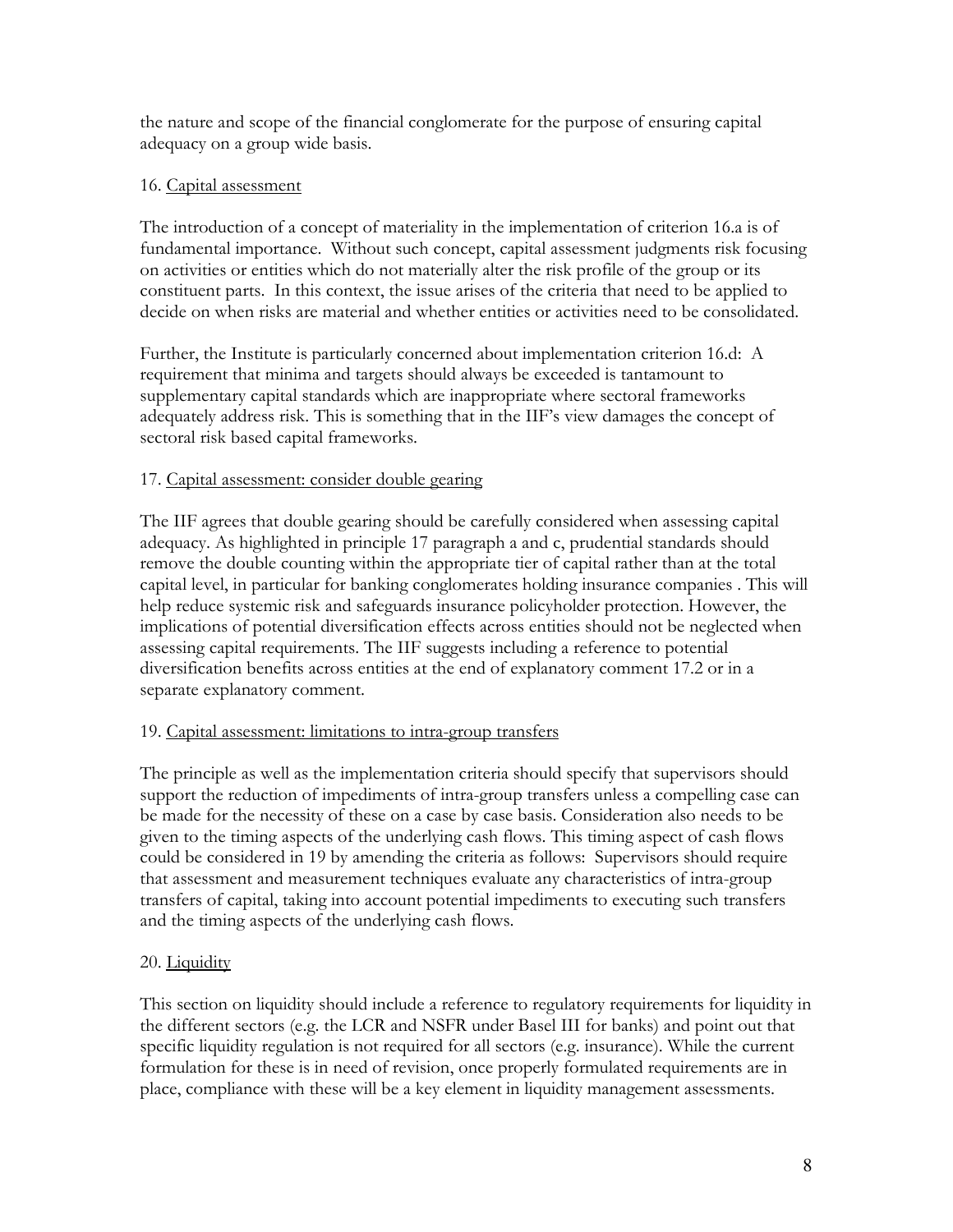the nature and scope of the financial conglomerate for the purpose of ensuring capital adequacy on a group wide basis.

### 16. Capital assessment

The introduction of a concept of materiality in the implementation of criterion 16.a is of fundamental importance. Without such concept, capital assessment judgments risk focusing on activities or entities which do not materially alter the risk profile of the group or its constituent parts. In this context, the issue arises of the criteria that need to be applied to decide on when risks are material and whether entities or activities need to be consolidated.

Further, the Institute is particularly concerned about implementation criterion 16.d: A requirement that minima and targets should always be exceeded is tantamount to supplementary capital standards which are inappropriate where sectoral frameworks adequately address risk. This is something that in the IIF's view damages the concept of sectoral risk based capital frameworks.

### 17. Capital assessment: consider double gearing

The IIF agrees that double gearing should be carefully considered when assessing capital adequacy. As highlighted in principle 17 paragraph a and c, prudential standards should remove the double counting within the appropriate tier of capital rather than at the total capital level, in particular for banking conglomerates holding insurance companies . This will help reduce systemic risk and safeguards insurance policyholder protection. However, the implications of potential diversification effects across entities should not be neglected when assessing capital requirements. The IIF suggests including a reference to potential diversification benefits across entities at the end of explanatory comment 17.2 or in a separate explanatory comment.

#### 19. Capital assessment: limitations to intra-group transfers

The principle as well as the implementation criteria should specify that supervisors should support the reduction of impediments of intra-group transfers unless a compelling case can be made for the necessity of these on a case by case basis. Consideration also needs to be given to the timing aspects of the underlying cash flows. This timing aspect of cash flows could be considered in 19 by amending the criteria as follows: Supervisors should require that assessment and measurement techniques evaluate any characteristics of intra-group transfers of capital, taking into account potential impediments to executing such transfers and the timing aspects of the underlying cash flows.

## 20. Liquidity

This section on liquidity should include a reference to regulatory requirements for liquidity in the different sectors (e.g. the LCR and NSFR under Basel III for banks) and point out that specific liquidity regulation is not required for all sectors (e.g. insurance). While the current formulation for these is in need of revision, once properly formulated requirements are in place, compliance with these will be a key element in liquidity management assessments.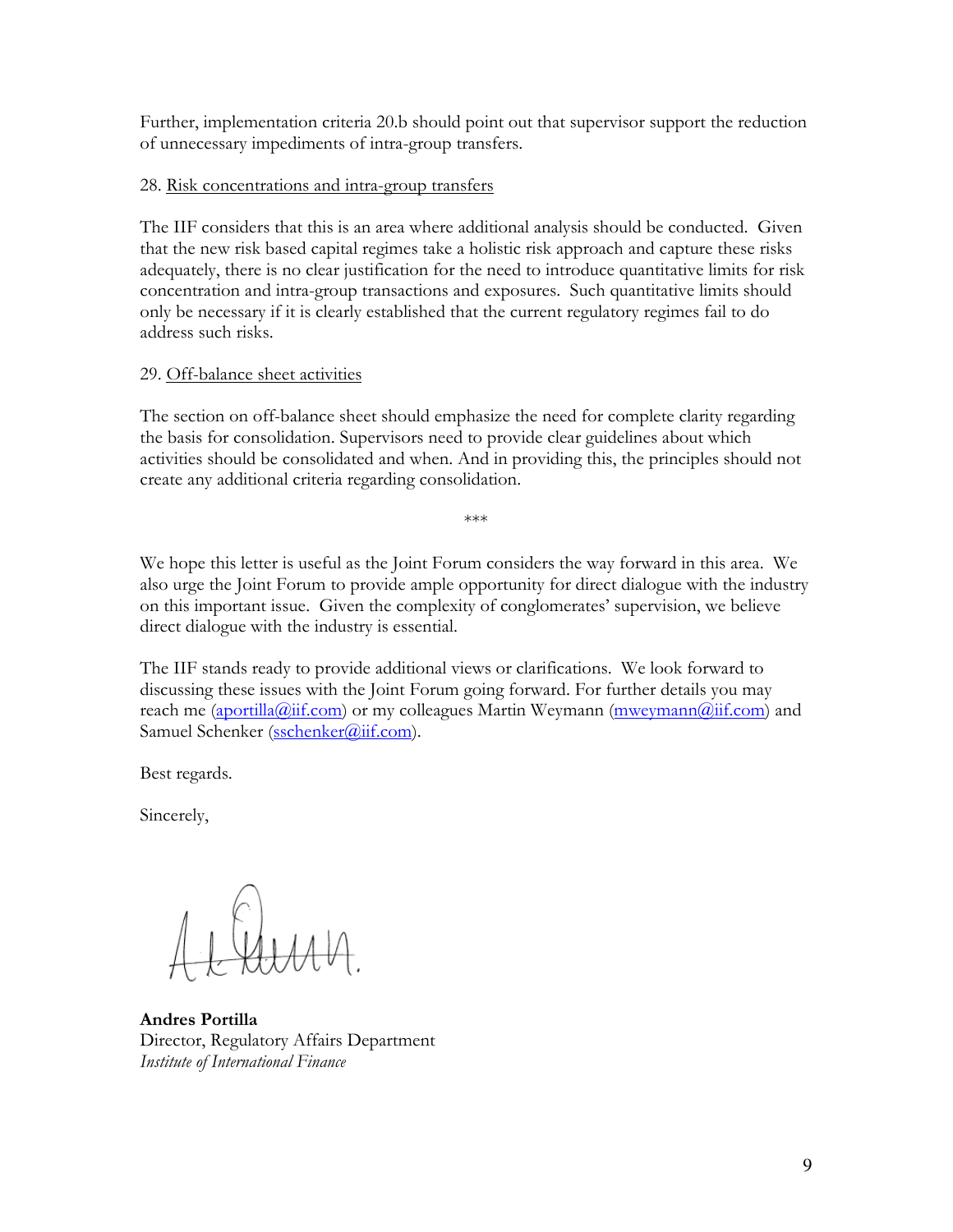Further, implementation criteria 20.b should point out that supervisor support the reduction of unnecessary impediments of intra-group transfers.

#### 28. Risk concentrations and intra-group transfers

The IIF considers that this is an area where additional analysis should be conducted. Given that the new risk based capital regimes take a holistic risk approach and capture these risks adequately, there is no clear justification for the need to introduce quantitative limits for risk concentration and intra-group transactions and exposures. Such quantitative limits should only be necessary if it is clearly established that the current regulatory regimes fail to do address such risks.

### 29. Off-balance sheet activities

The section on off-balance sheet should emphasize the need for complete clarity regarding the basis for consolidation. Supervisors need to provide clear guidelines about which activities should be consolidated and when. And in providing this, the principles should not create any additional criteria regarding consolidation.

We hope this letter is useful as the Joint Forum considers the way forward in this area. We also urge the Joint Forum to provide ample opportunity for direct dialogue with the industry on this important issue. Given the complexity of conglomerates' supervision, we believe direct dialogue with the industry is essential.

\*\*\*

The IIF stands ready to provide additional views or clarifications. We look forward to discussing these issues with the Joint Forum going forward. For further details you may reach me (aportilla@iif.com) or my colleagues Martin Weymann (mweymann@iif.com) and Samuel Schenker (sschenker@iif.com).

Best regards.

Sincerely,

Andres Portilla Director, Regulatory Affairs Department Institute of International Finance